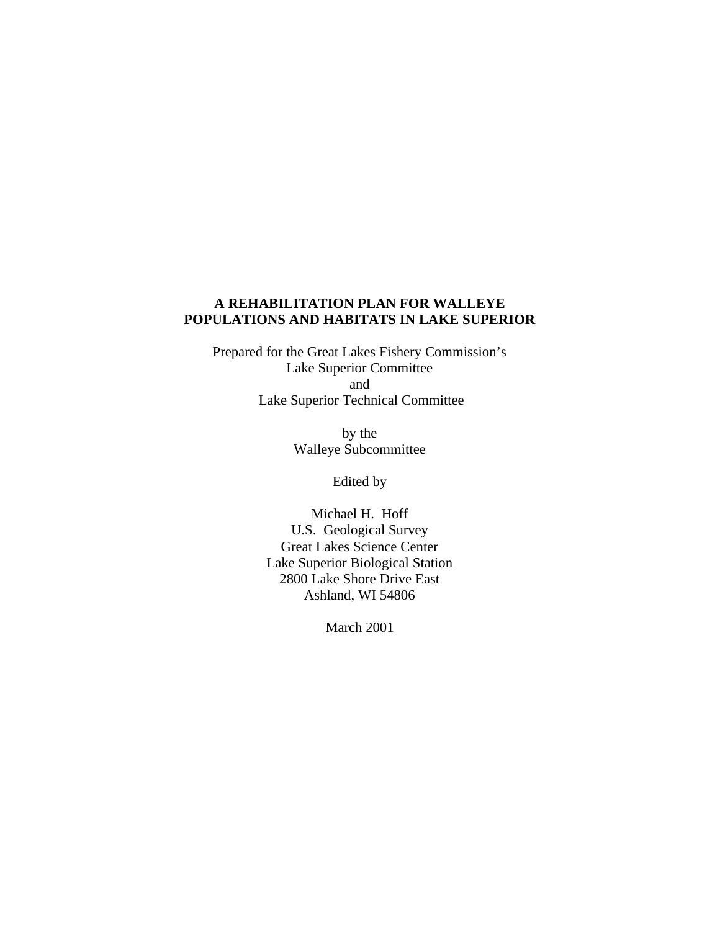## **A REHABILITATION PLAN FOR WALLEYE POPULATIONS AND HABITATS IN LAKE SUPERIOR**

Prepared for the Great Lakes Fishery Commission's Lake Superior Committee and Lake Superior Technical Committee

> by the Walleye Subcommittee

> > Edited by

Michael H. Hoff U.S. Geological Survey Great Lakes Science Center Lake Superior Biological Station 2800 Lake Shore Drive East Ashland, WI 54806

March 2001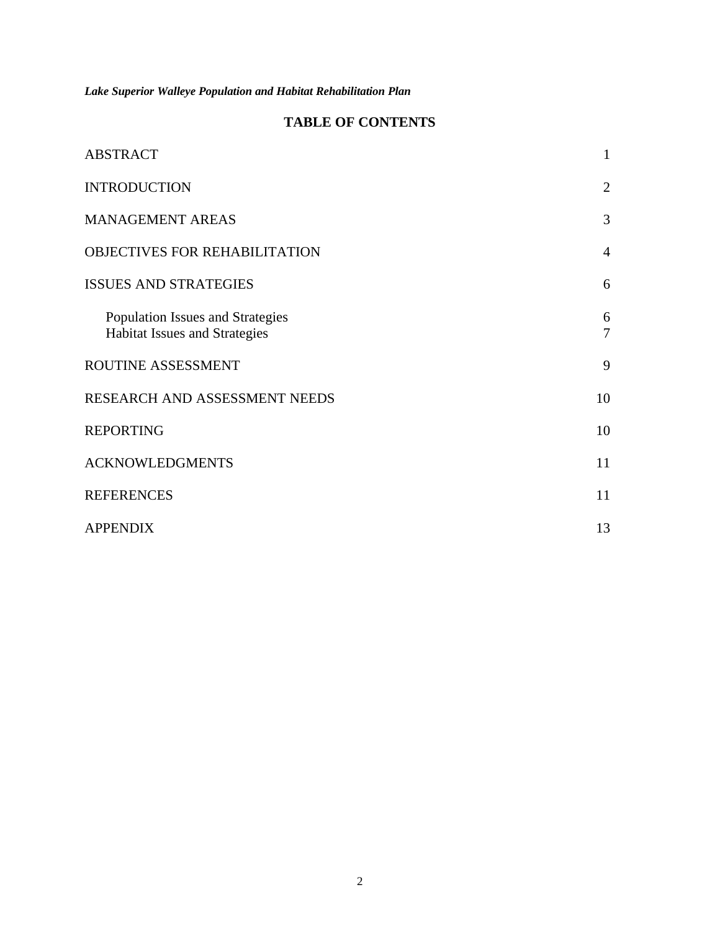# **TABLE OF CONTENTS**

| <b>ABSTRACT</b>                                                   | 1                   |
|-------------------------------------------------------------------|---------------------|
| <b>INTRODUCTION</b>                                               | $\overline{2}$      |
| <b>MANAGEMENT AREAS</b>                                           | 3                   |
| <b>OBJECTIVES FOR REHABILITATION</b>                              | $\overline{4}$      |
| <b>ISSUES AND STRATEGIES</b>                                      | 6                   |
| Population Issues and Strategies<br>Habitat Issues and Strategies | 6<br>$\overline{7}$ |
| ROUTINE ASSESSMENT                                                | 9                   |
| RESEARCH AND ASSESSMENT NEEDS                                     | 10                  |
| <b>REPORTING</b>                                                  | 10                  |
| <b>ACKNOWLEDGMENTS</b>                                            | 11                  |
| <b>REFERENCES</b>                                                 | 11                  |
| <b>APPENDIX</b>                                                   | 13                  |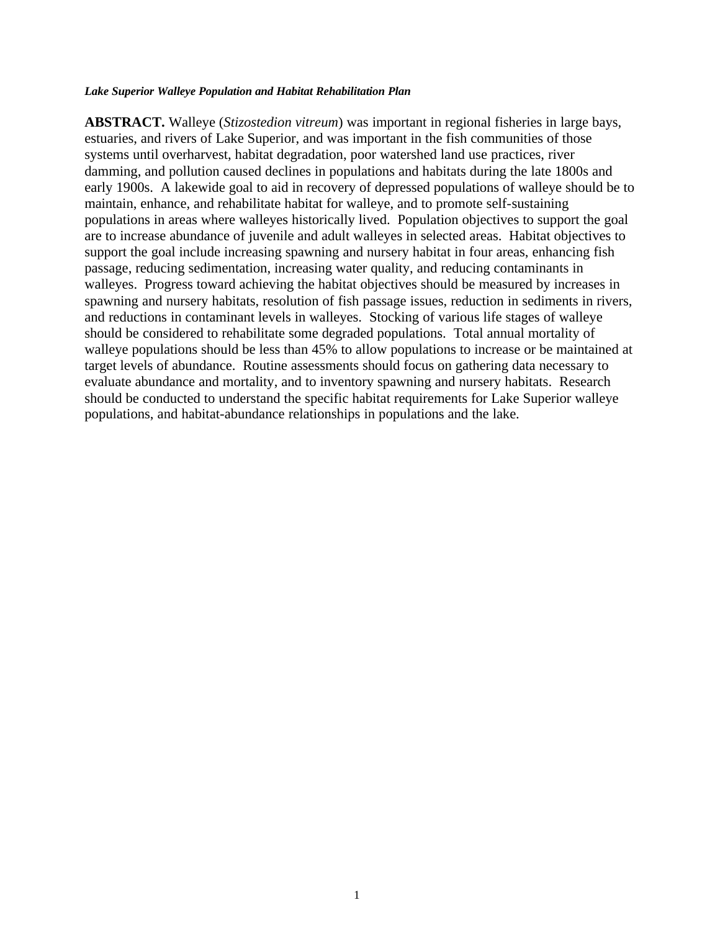**ABSTRACT.** Walleye (*Stizostedion vitreum*) was important in regional fisheries in large bays, estuaries, and rivers of Lake Superior, and was important in the fish communities of those systems until overharvest, habitat degradation, poor watershed land use practices, river damming, and pollution caused declines in populations and habitats during the late 1800s and early 1900s. A lakewide goal to aid in recovery of depressed populations of walleye should be to maintain, enhance, and rehabilitate habitat for walleye, and to promote self-sustaining populations in areas where walleyes historically lived. Population objectives to support the goal are to increase abundance of juvenile and adult walleyes in selected areas. Habitat objectives to support the goal include increasing spawning and nursery habitat in four areas, enhancing fish passage, reducing sedimentation, increasing water quality, and reducing contaminants in walleyes. Progress toward achieving the habitat objectives should be measured by increases in spawning and nursery habitats, resolution of fish passage issues, reduction in sediments in rivers, and reductions in contaminant levels in walleyes. Stocking of various life stages of walleye should be considered to rehabilitate some degraded populations. Total annual mortality of walleye populations should be less than 45% to allow populations to increase or be maintained at target levels of abundance. Routine assessments should focus on gathering data necessary to evaluate abundance and mortality, and to inventory spawning and nursery habitats. Research should be conducted to understand the specific habitat requirements for Lake Superior walleye populations, and habitat-abundance relationships in populations and the lake.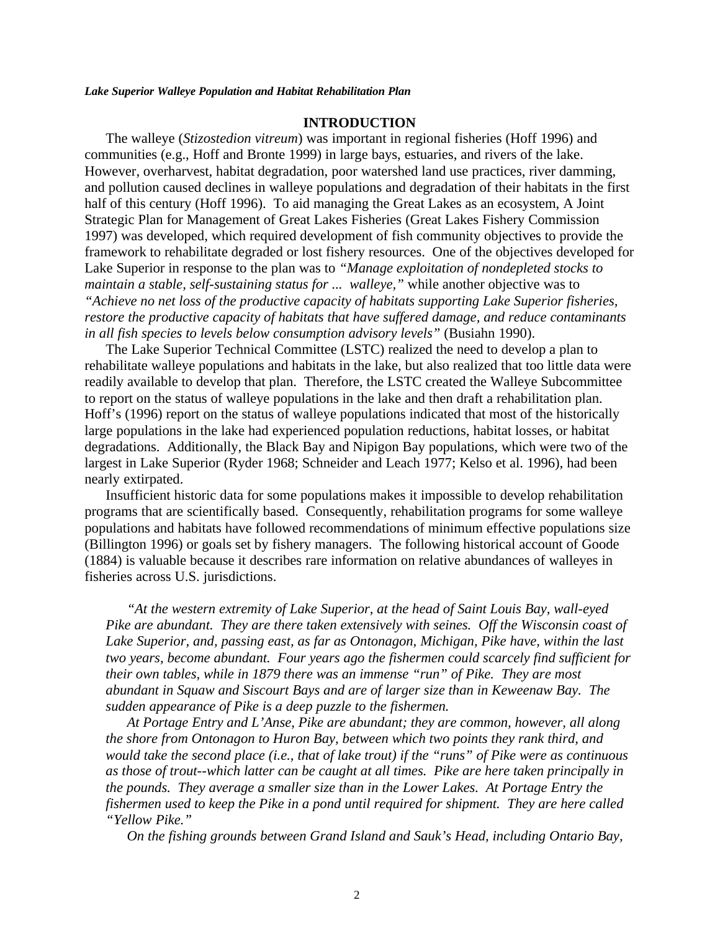### **INTRODUCTION**

The walleye (*Stizostedion vitreum*) was important in regional fisheries (Hoff 1996) and communities (e.g., Hoff and Bronte 1999) in large bays, estuaries, and rivers of the lake. However, overharvest, habitat degradation, poor watershed land use practices, river damming, and pollution caused declines in walleye populations and degradation of their habitats in the first half of this century (Hoff 1996). To aid managing the Great Lakes as an ecosystem, A Joint Strategic Plan for Management of Great Lakes Fisheries (Great Lakes Fishery Commission 1997) was developed, which required development of fish community objectives to provide the framework to rehabilitate degraded or lost fishery resources. One of the objectives developed for Lake Superior in response to the plan was to *"Manage exploitation of nondepleted stocks to maintain a stable, self-sustaining status for ... walleye,"* while another objective was to *"Achieve no net loss of the productive capacity of habitats supporting Lake Superior fisheries, restore the productive capacity of habitats that have suffered damage, and reduce contaminants in all fish species to levels below consumption advisory levels"* (Busiahn 1990).

The Lake Superior Technical Committee (LSTC) realized the need to develop a plan to rehabilitate walleye populations and habitats in the lake, but also realized that too little data were readily available to develop that plan. Therefore, the LSTC created the Walleye Subcommittee to report on the status of walleye populations in the lake and then draft a rehabilitation plan. Hoff's (1996) report on the status of walleye populations indicated that most of the historically large populations in the lake had experienced population reductions, habitat losses, or habitat degradations. Additionally, the Black Bay and Nipigon Bay populations, which were two of the largest in Lake Superior (Ryder 1968; Schneider and Leach 1977; Kelso et al. 1996), had been nearly extirpated.

Insufficient historic data for some populations makes it impossible to develop rehabilitation programs that are scientifically based. Consequently, rehabilitation programs for some walleye populations and habitats have followed recommendations of minimum effective populations size (Billington 1996) or goals set by fishery managers. The following historical account of Goode (1884) is valuable because it describes rare information on relative abundances of walleyes in fisheries across U.S. jurisdictions.

*"At the western extremity of Lake Superior, at the head of Saint Louis Bay, wall-eyed Pike are abundant. They are there taken extensively with seines. Off the Wisconsin coast of Lake Superior, and, passing east, as far as Ontonagon, Michigan, Pike have, within the last two years, become abundant. Four years ago the fishermen could scarcely find sufficient for their own tables, while in 1879 there was an immense "run" of Pike. They are most abundant in Squaw and Siscourt Bays and are of larger size than in Keweenaw Bay. The sudden appearance of Pike is a deep puzzle to the fishermen.*

*At Portage Entry and L'Anse, Pike are abundant; they are common, however, all along the shore from Ontonagon to Huron Bay, between which two points they rank third, and would take the second place (i.e., that of lake trout) if the "runs" of Pike were as continuous as those of trout--which latter can be caught at all times. Pike are here taken principally in the pounds. They average a smaller size than in the Lower Lakes. At Portage Entry the fishermen used to keep the Pike in a pond until required for shipment. They are here called "Yellow Pike."*

*On the fishing grounds between Grand Island and Sauk's Head, including Ontario Bay,*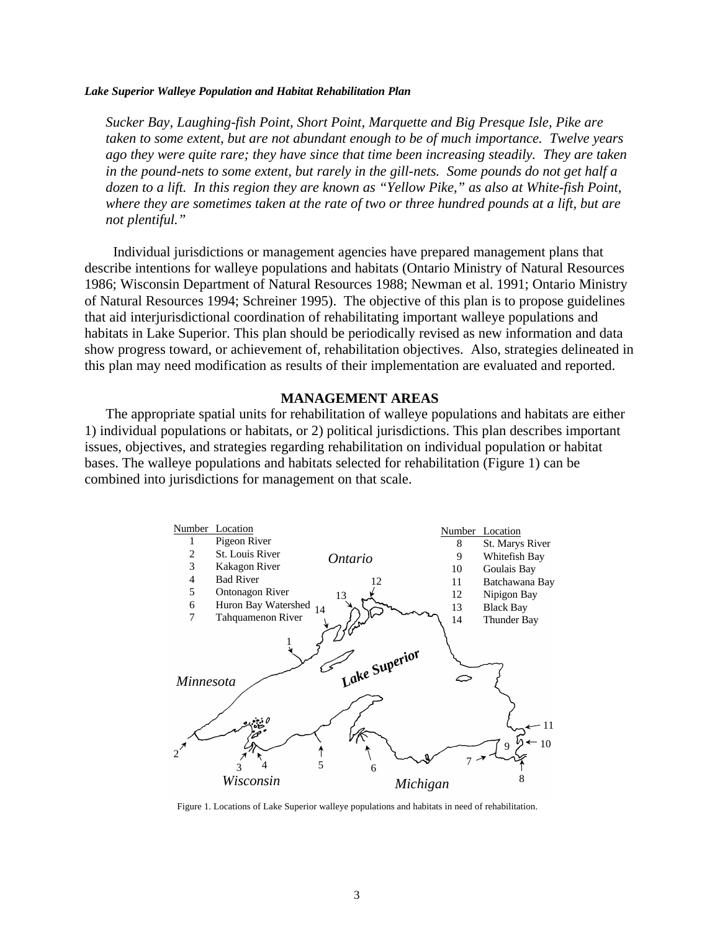*Sucker Bay, Laughing-fish Point, Short Point, Marquette and Big Presque Isle, Pike are taken to some extent, but are not abundant enough to be of much importance. Twelve years ago they were quite rare; they have since that time been increasing steadily. They are taken in the pound-nets to some extent, but rarely in the gill-nets. Some pounds do not get half a dozen to a lift. In this region they are known as "Yellow Pike," as also at White-fish Point, where they are sometimes taken at the rate of two or three hundred pounds at a lift, but are not plentiful."*

 Individual jurisdictions or management agencies have prepared management plans that describe intentions for walleye populations and habitats (Ontario Ministry of Natural Resources 1986; Wisconsin Department of Natural Resources 1988; Newman et al. 1991; Ontario Ministry of Natural Resources 1994; Schreiner 1995). The objective of this plan is to propose guidelines that aid interjurisdictional coordination of rehabilitating important walleye populations and habitats in Lake Superior. This plan should be periodically revised as new information and data show progress toward, or achievement of, rehabilitation objectives. Also, strategies delineated in this plan may need modification as results of their implementation are evaluated and reported.

### **MANAGEMENT AREAS**

The appropriate spatial units for rehabilitation of walleye populations and habitats are either 1) individual populations or habitats, or 2) political jurisdictions. This plan describes important issues, objectives, and strategies regarding rehabilitation on individual population or habitat bases. The walleye populations and habitats selected for rehabilitation (Figure 1) can be combined into jurisdictions for management on that scale.



Figure 1. Locations of Lake Superior walleye populations and habitats in need of rehabilitation.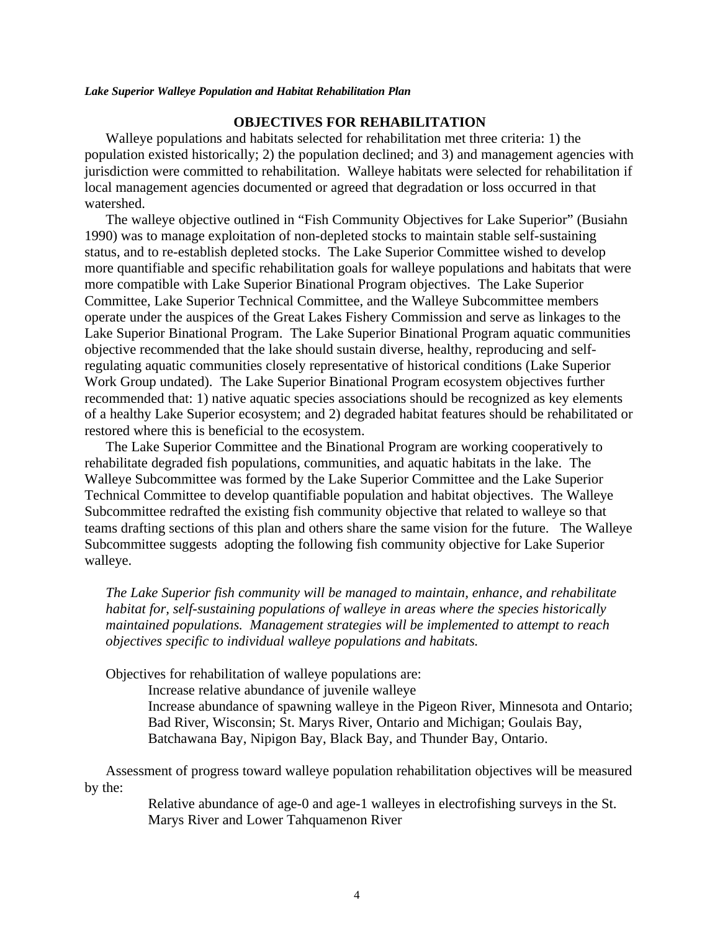### **OBJECTIVES FOR REHABILITATION**

Walleye populations and habitats selected for rehabilitation met three criteria: 1) the population existed historically; 2) the population declined; and 3) and management agencies with jurisdiction were committed to rehabilitation. Walleye habitats were selected for rehabilitation if local management agencies documented or agreed that degradation or loss occurred in that watershed.

The walleye objective outlined in "Fish Community Objectives for Lake Superior" (Busiahn 1990) was to manage exploitation of non-depleted stocks to maintain stable self-sustaining status, and to re-establish depleted stocks. The Lake Superior Committee wished to develop more quantifiable and specific rehabilitation goals for walleye populations and habitats that were more compatible with Lake Superior Binational Program objectives. The Lake Superior Committee, Lake Superior Technical Committee, and the Walleye Subcommittee members operate under the auspices of the Great Lakes Fishery Commission and serve as linkages to the Lake Superior Binational Program. The Lake Superior Binational Program aquatic communities objective recommended that the lake should sustain diverse, healthy, reproducing and selfregulating aquatic communities closely representative of historical conditions (Lake Superior Work Group undated). The Lake Superior Binational Program ecosystem objectives further recommended that: 1) native aquatic species associations should be recognized as key elements of a healthy Lake Superior ecosystem; and 2) degraded habitat features should be rehabilitated or restored where this is beneficial to the ecosystem.

The Lake Superior Committee and the Binational Program are working cooperatively to rehabilitate degraded fish populations, communities, and aquatic habitats in the lake. The Walleye Subcommittee was formed by the Lake Superior Committee and the Lake Superior Technical Committee to develop quantifiable population and habitat objectives. The Walleye Subcommittee redrafted the existing fish community objective that related to walleye so that teams drafting sections of this plan and others share the same vision for the future. The Walleye Subcommittee suggests adopting the following fish community objective for Lake Superior walleye.

*The Lake Superior fish community will be managed to maintain, enhance, and rehabilitate habitat for, self-sustaining populations of walleye in areas where the species historically maintained populations. Management strategies will be implemented to attempt to reach objectives specific to individual walleye populations and habitats.*

Objectives for rehabilitation of walleye populations are:

Increase relative abundance of juvenile walleye

Increase abundance of spawning walleye in the Pigeon River, Minnesota and Ontario; Bad River, Wisconsin; St. Marys River, Ontario and Michigan; Goulais Bay, Batchawana Bay, Nipigon Bay, Black Bay, and Thunder Bay, Ontario.

Assessment of progress toward walleye population rehabilitation objectives will be measured by the:

> Relative abundance of age-0 and age-1 walleyes in electrofishing surveys in the St. Marys River and Lower Tahquamenon River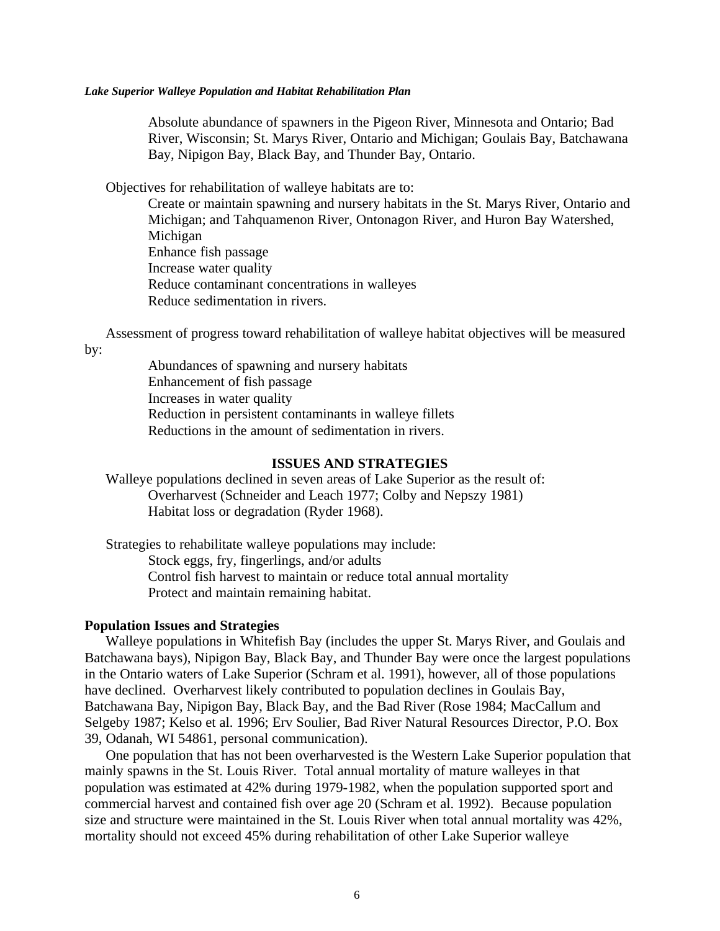Absolute abundance of spawners in the Pigeon River, Minnesota and Ontario; Bad River, Wisconsin; St. Marys River, Ontario and Michigan; Goulais Bay, Batchawana Bay, Nipigon Bay, Black Bay, and Thunder Bay, Ontario.

Objectives for rehabilitation of walleye habitats are to:

Create or maintain spawning and nursery habitats in the St. Marys River, Ontario and Michigan; and Tahquamenon River, Ontonagon River, and Huron Bay Watershed, Michigan Enhance fish passage Increase water quality Reduce contaminant concentrations in walleyes Reduce sedimentation in rivers.

Assessment of progress toward rehabilitation of walleye habitat objectives will be measured

by:

Abundances of spawning and nursery habitats Enhancement of fish passage Increases in water quality Reduction in persistent contaminants in walleye fillets Reductions in the amount of sedimentation in rivers.

### **ISSUES AND STRATEGIES**

Walleye populations declined in seven areas of Lake Superior as the result of: Overharvest (Schneider and Leach 1977; Colby and Nepszy 1981) Habitat loss or degradation (Ryder 1968).

Strategies to rehabilitate walleye populations may include: Stock eggs, fry, fingerlings, and/or adults Control fish harvest to maintain or reduce total annual mortality Protect and maintain remaining habitat.

#### **Population Issues and Strategies**

Walleye populations in Whitefish Bay (includes the upper St. Marys River, and Goulais and Batchawana bays), Nipigon Bay, Black Bay, and Thunder Bay were once the largest populations in the Ontario waters of Lake Superior (Schram et al. 1991), however, all of those populations have declined. Overharvest likely contributed to population declines in Goulais Bay, Batchawana Bay, Nipigon Bay, Black Bay, and the Bad River (Rose 1984; MacCallum and Selgeby 1987; Kelso et al. 1996; Erv Soulier, Bad River Natural Resources Director, P.O. Box 39, Odanah, WI 54861, personal communication).

One population that has not been overharvested is the Western Lake Superior population that mainly spawns in the St. Louis River. Total annual mortality of mature walleyes in that population was estimated at 42% during 1979-1982, when the population supported sport and commercial harvest and contained fish over age 20 (Schram et al. 1992). Because population size and structure were maintained in the St. Louis River when total annual mortality was 42%, mortality should not exceed 45% during rehabilitation of other Lake Superior walleye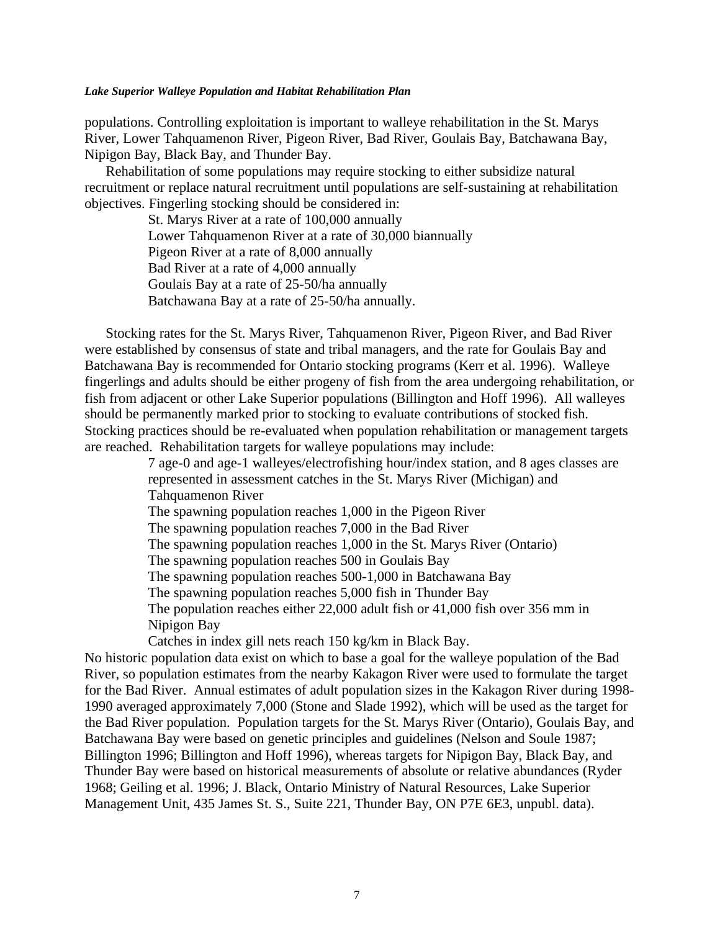populations. Controlling exploitation is important to walleye rehabilitation in the St. Marys River, Lower Tahquamenon River, Pigeon River, Bad River, Goulais Bay, Batchawana Bay, Nipigon Bay, Black Bay, and Thunder Bay.

Rehabilitation of some populations may require stocking to either subsidize natural recruitment or replace natural recruitment until populations are self-sustaining at rehabilitation objectives. Fingerling stocking should be considered in:

> St. Marys River at a rate of 100,000 annually Lower Tahquamenon River at a rate of 30,000 biannually Pigeon River at a rate of 8,000 annually Bad River at a rate of 4,000 annually Goulais Bay at a rate of 25-50/ha annually Batchawana Bay at a rate of 25-50/ha annually.

Stocking rates for the St. Marys River, Tahquamenon River, Pigeon River, and Bad River were established by consensus of state and tribal managers, and the rate for Goulais Bay and Batchawana Bay is recommended for Ontario stocking programs (Kerr et al. 1996). Walleye fingerlings and adults should be either progeny of fish from the area undergoing rehabilitation, or fish from adjacent or other Lake Superior populations (Billington and Hoff 1996). All walleyes should be permanently marked prior to stocking to evaluate contributions of stocked fish. Stocking practices should be re-evaluated when population rehabilitation or management targets are reached. Rehabilitation targets for walleye populations may include:

> 7 age-0 and age-1 walleyes/electrofishing hour/index station, and 8 ages classes are represented in assessment catches in the St. Marys River (Michigan) and Tahquamenon River

The spawning population reaches 1,000 in the Pigeon River

The spawning population reaches 7,000 in the Bad River

The spawning population reaches 1,000 in the St. Marys River (Ontario)

The spawning population reaches 500 in Goulais Bay

The spawning population reaches 500-1,000 in Batchawana Bay

The spawning population reaches 5,000 fish in Thunder Bay

The population reaches either 22,000 adult fish or 41,000 fish over 356 mm in Nipigon Bay

Catches in index gill nets reach 150 kg/km in Black Bay.

No historic population data exist on which to base a goal for the walleye population of the Bad River, so population estimates from the nearby Kakagon River were used to formulate the target for the Bad River. Annual estimates of adult population sizes in the Kakagon River during 1998- 1990 averaged approximately 7,000 (Stone and Slade 1992), which will be used as the target for the Bad River population. Population targets for the St. Marys River (Ontario), Goulais Bay, and Batchawana Bay were based on genetic principles and guidelines (Nelson and Soule 1987; Billington 1996; Billington and Hoff 1996), whereas targets for Nipigon Bay, Black Bay, and Thunder Bay were based on historical measurements of absolute or relative abundances (Ryder 1968; Geiling et al. 1996; J. Black, Ontario Ministry of Natural Resources, Lake Superior Management Unit, 435 James St. S., Suite 221, Thunder Bay, ON P7E 6E3, unpubl. data).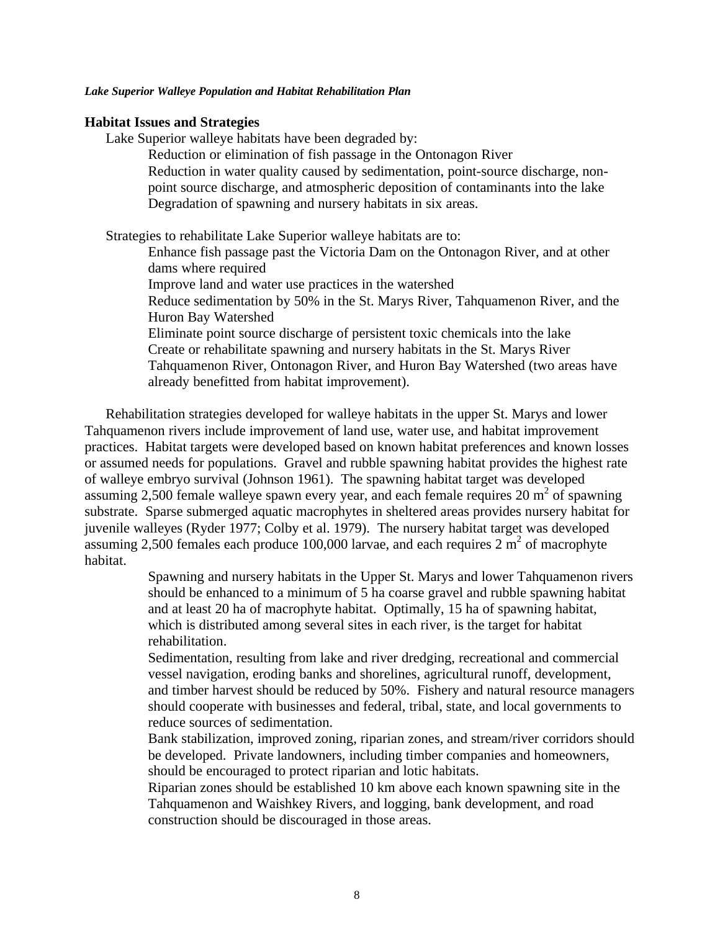### **Habitat Issues and Strategies**

Lake Superior walleye habitats have been degraded by:

Reduction or elimination of fish passage in the Ontonagon River Reduction in water quality caused by sedimentation, point-source discharge, nonpoint source discharge, and atmospheric deposition of contaminants into the lake Degradation of spawning and nursery habitats in six areas.

Strategies to rehabilitate Lake Superior walleye habitats are to:

Enhance fish passage past the Victoria Dam on the Ontonagon River, and at other dams where required

Improve land and water use practices in the watershed

Reduce sedimentation by 50% in the St. Marys River, Tahquamenon River, and the Huron Bay Watershed

Eliminate point source discharge of persistent toxic chemicals into the lake Create or rehabilitate spawning and nursery habitats in the St. Marys River Tahquamenon River, Ontonagon River, and Huron Bay Watershed (two areas have already benefitted from habitat improvement).

Rehabilitation strategies developed for walleye habitats in the upper St. Marys and lower Tahquamenon rivers include improvement of land use, water use, and habitat improvement practices. Habitat targets were developed based on known habitat preferences and known losses or assumed needs for populations. Gravel and rubble spawning habitat provides the highest rate of walleye embryo survival (Johnson 1961). The spawning habitat target was developed assuming 2,500 female walleye spawn every year, and each female requires  $20 \text{ m}^2$  of spawning substrate. Sparse submerged aquatic macrophytes in sheltered areas provides nursery habitat for juvenile walleyes (Ryder 1977; Colby et al. 1979). The nursery habitat target was developed assuming 2,500 females each produce 100,000 larvae, and each requires  $2 \text{ m}^2$  of macrophyte habitat.

> Spawning and nursery habitats in the Upper St. Marys and lower Tahquamenon rivers should be enhanced to a minimum of 5 ha coarse gravel and rubble spawning habitat and at least 20 ha of macrophyte habitat. Optimally, 15 ha of spawning habitat, which is distributed among several sites in each river, is the target for habitat rehabilitation.

> Sedimentation, resulting from lake and river dredging, recreational and commercial vessel navigation, eroding banks and shorelines, agricultural runoff, development, and timber harvest should be reduced by 50%. Fishery and natural resource managers should cooperate with businesses and federal, tribal, state, and local governments to reduce sources of sedimentation.

> Bank stabilization, improved zoning, riparian zones, and stream/river corridors should be developed. Private landowners, including timber companies and homeowners, should be encouraged to protect riparian and lotic habitats.

Riparian zones should be established 10 km above each known spawning site in the Tahquamenon and Waishkey Rivers, and logging, bank development, and road construction should be discouraged in those areas.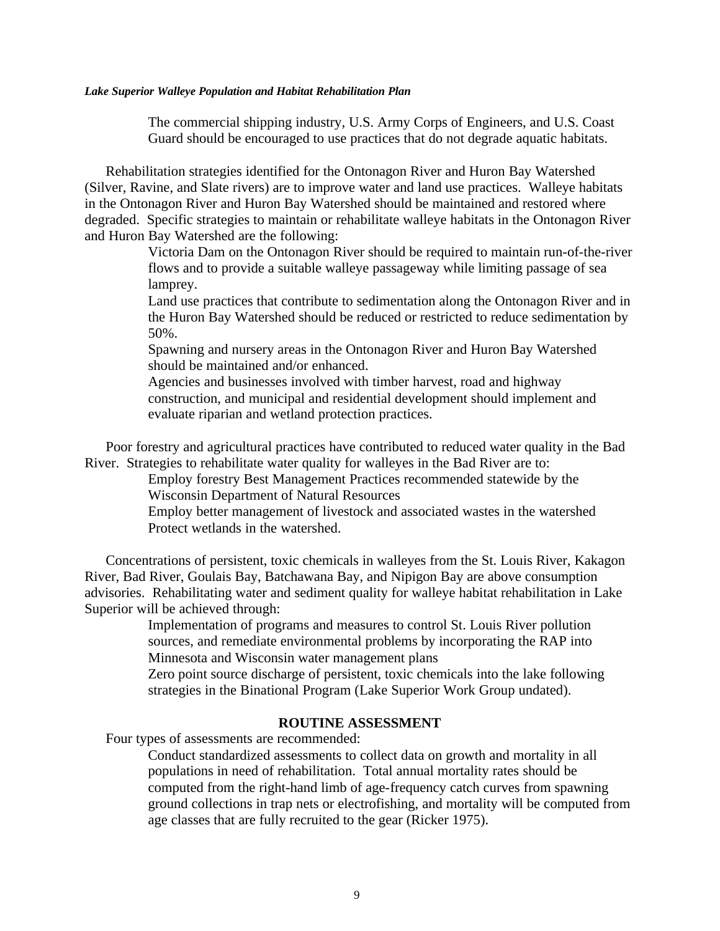The commercial shipping industry, U.S. Army Corps of Engineers, and U.S. Coast Guard should be encouraged to use practices that do not degrade aquatic habitats.

Rehabilitation strategies identified for the Ontonagon River and Huron Bay Watershed (Silver, Ravine, and Slate rivers) are to improve water and land use practices. Walleye habitats in the Ontonagon River and Huron Bay Watershed should be maintained and restored where degraded. Specific strategies to maintain or rehabilitate walleye habitats in the Ontonagon River and Huron Bay Watershed are the following:

> Victoria Dam on the Ontonagon River should be required to maintain run-of-the-river flows and to provide a suitable walleye passageway while limiting passage of sea lamprey.

> Land use practices that contribute to sedimentation along the Ontonagon River and in the Huron Bay Watershed should be reduced or restricted to reduce sedimentation by 50%.

Spawning and nursery areas in the Ontonagon River and Huron Bay Watershed should be maintained and/or enhanced.

Agencies and businesses involved with timber harvest, road and highway construction, and municipal and residential development should implement and evaluate riparian and wetland protection practices.

Poor forestry and agricultural practices have contributed to reduced water quality in the Bad River. Strategies to rehabilitate water quality for walleyes in the Bad River are to:

> Employ forestry Best Management Practices recommended statewide by the Wisconsin Department of Natural Resources

Employ better management of livestock and associated wastes in the watershed Protect wetlands in the watershed.

Concentrations of persistent, toxic chemicals in walleyes from the St. Louis River, Kakagon River, Bad River, Goulais Bay, Batchawana Bay, and Nipigon Bay are above consumption advisories. Rehabilitating water and sediment quality for walleye habitat rehabilitation in Lake Superior will be achieved through:

> Implementation of programs and measures to control St. Louis River pollution sources, and remediate environmental problems by incorporating the RAP into Minnesota and Wisconsin water management plans

Zero point source discharge of persistent, toxic chemicals into the lake following strategies in the Binational Program (Lake Superior Work Group undated).

### **ROUTINE ASSESSMENT**

Four types of assessments are recommended:

Conduct standardized assessments to collect data on growth and mortality in all populations in need of rehabilitation. Total annual mortality rates should be computed from the right-hand limb of age-frequency catch curves from spawning ground collections in trap nets or electrofishing, and mortality will be computed from age classes that are fully recruited to the gear (Ricker 1975).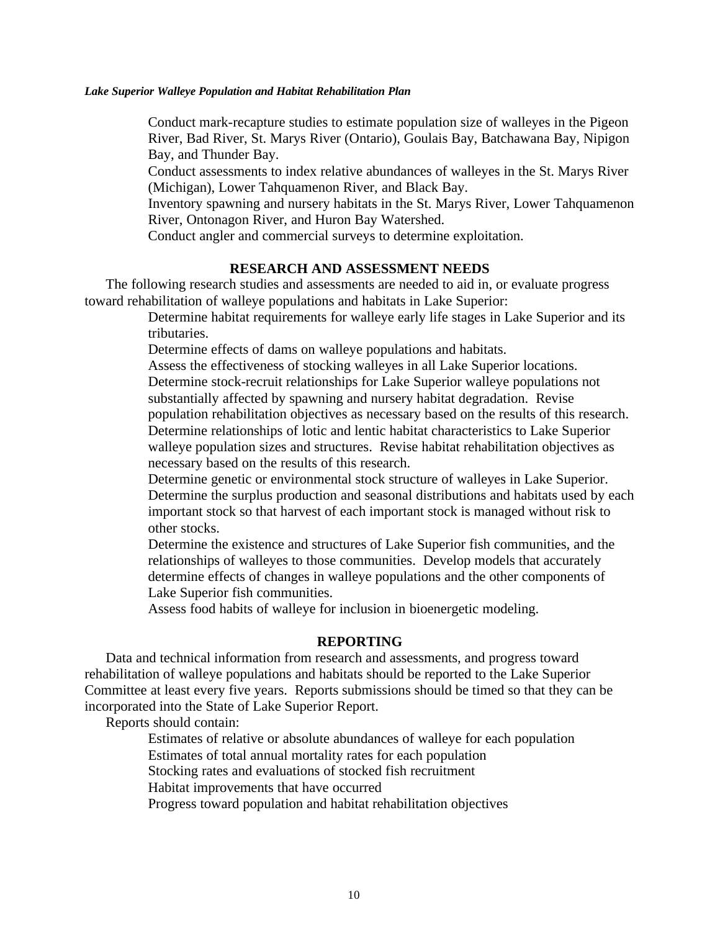Conduct mark-recapture studies to estimate population size of walleyes in the Pigeon River, Bad River, St. Marys River (Ontario), Goulais Bay, Batchawana Bay, Nipigon Bay, and Thunder Bay.

Conduct assessments to index relative abundances of walleyes in the St. Marys River (Michigan), Lower Tahquamenon River, and Black Bay.

Inventory spawning and nursery habitats in the St. Marys River, Lower Tahquamenon River, Ontonagon River, and Huron Bay Watershed.

Conduct angler and commercial surveys to determine exploitation.

### **RESEARCH AND ASSESSMENT NEEDS**

The following research studies and assessments are needed to aid in, or evaluate progress toward rehabilitation of walleye populations and habitats in Lake Superior:

> Determine habitat requirements for walleye early life stages in Lake Superior and its tributaries.

Determine effects of dams on walleye populations and habitats.

Assess the effectiveness of stocking walleyes in all Lake Superior locations. Determine stock-recruit relationships for Lake Superior walleye populations not substantially affected by spawning and nursery habitat degradation. Revise population rehabilitation objectives as necessary based on the results of this research. Determine relationships of lotic and lentic habitat characteristics to Lake Superior walleye population sizes and structures. Revise habitat rehabilitation objectives as necessary based on the results of this research.

Determine genetic or environmental stock structure of walleyes in Lake Superior. Determine the surplus production and seasonal distributions and habitats used by each important stock so that harvest of each important stock is managed without risk to other stocks.

Determine the existence and structures of Lake Superior fish communities, and the relationships of walleyes to those communities. Develop models that accurately determine effects of changes in walleye populations and the other components of Lake Superior fish communities.

Assess food habits of walleye for inclusion in bioenergetic modeling.

### **REPORTING**

Data and technical information from research and assessments, and progress toward rehabilitation of walleye populations and habitats should be reported to the Lake Superior Committee at least every five years. Reports submissions should be timed so that they can be incorporated into the State of Lake Superior Report.

Reports should contain:

Estimates of relative or absolute abundances of walleye for each population

Estimates of total annual mortality rates for each population

Stocking rates and evaluations of stocked fish recruitment

Habitat improvements that have occurred

Progress toward population and habitat rehabilitation objectives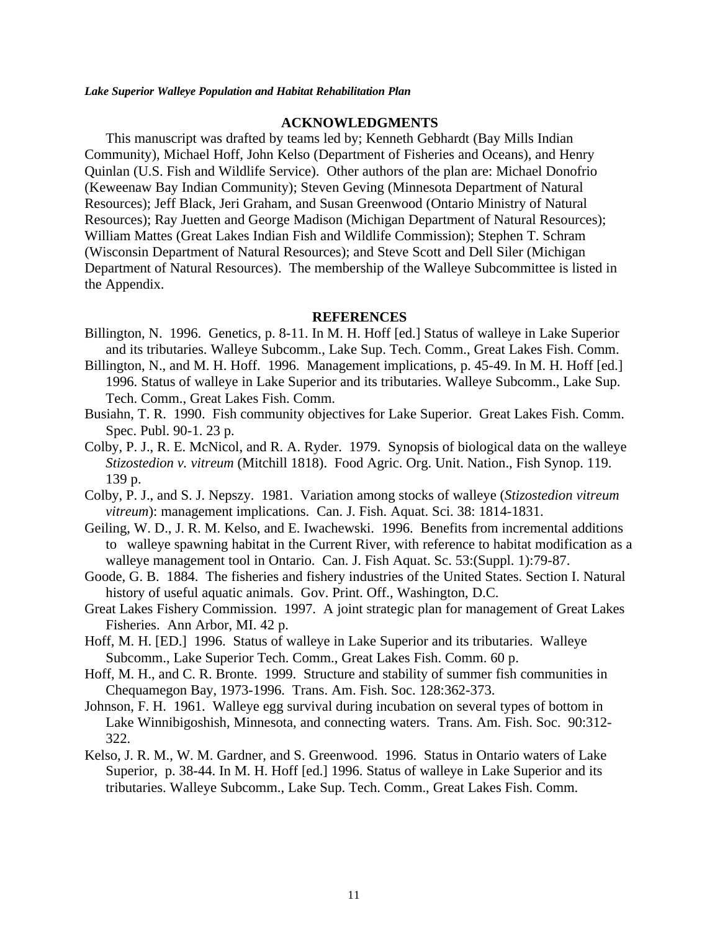### **ACKNOWLEDGMENTS**

This manuscript was drafted by teams led by; Kenneth Gebhardt (Bay Mills Indian Community), Michael Hoff, John Kelso (Department of Fisheries and Oceans), and Henry Quinlan (U.S. Fish and Wildlife Service). Other authors of the plan are: Michael Donofrio (Keweenaw Bay Indian Community); Steven Geving (Minnesota Department of Natural Resources); Jeff Black, Jeri Graham, and Susan Greenwood (Ontario Ministry of Natural Resources); Ray Juetten and George Madison (Michigan Department of Natural Resources); William Mattes (Great Lakes Indian Fish and Wildlife Commission); Stephen T. Schram (Wisconsin Department of Natural Resources); and Steve Scott and Dell Siler (Michigan Department of Natural Resources). The membership of the Walleye Subcommittee is listed in the Appendix.

### **REFERENCES**

- Billington, N. 1996. Genetics, p. 8-11. In M. H. Hoff [ed.] Status of walleye in Lake Superior and its tributaries. Walleye Subcomm., Lake Sup. Tech. Comm., Great Lakes Fish. Comm.
- Billington, N., and M. H. Hoff. 1996. Management implications, p. 45-49. In M. H. Hoff [ed.] 1996. Status of walleye in Lake Superior and its tributaries. Walleye Subcomm., Lake Sup. Tech. Comm., Great Lakes Fish. Comm.
- Busiahn, T. R. 1990. Fish community objectives for Lake Superior. Great Lakes Fish. Comm. Spec. Publ. 90-1. 23 p.
- Colby, P. J., R. E. McNicol, and R. A. Ryder. 1979. Synopsis of biological data on the walleye *Stizostedion v. vitreum* (Mitchill 1818). Food Agric. Org. Unit. Nation., Fish Synop. 119. 139 p.
- Colby, P. J., and S. J. Nepszy. 1981. Variation among stocks of walleye (*Stizostedion vitreum vitreum*): management implications. Can. J. Fish. Aquat. Sci. 38: 1814-1831.
- Geiling, W. D., J. R. M. Kelso, and E. Iwachewski. 1996. Benefits from incremental additions to walleye spawning habitat in the Current River, with reference to habitat modification as a walleye management tool in Ontario. Can. J. Fish Aquat. Sc. 53:(Suppl. 1):79-87.
- Goode, G. B. 1884. The fisheries and fishery industries of the United States. Section I. Natural history of useful aquatic animals. Gov. Print. Off., Washington, D.C.
- Great Lakes Fishery Commission. 1997. A joint strategic plan for management of Great Lakes Fisheries. Ann Arbor, MI. 42 p.
- Hoff, M. H. [ED.] 1996. Status of walleye in Lake Superior and its tributaries. Walleye Subcomm., Lake Superior Tech. Comm., Great Lakes Fish. Comm. 60 p.
- Hoff, M. H., and C. R. Bronte. 1999. Structure and stability of summer fish communities in Chequamegon Bay, 1973-1996. Trans. Am. Fish. Soc. 128:362-373.
- Johnson, F. H. 1961. Walleye egg survival during incubation on several types of bottom in Lake Winnibigoshish, Minnesota, and connecting waters. Trans. Am. Fish. Soc. 90:312- 322.
- Kelso, J. R. M., W. M. Gardner, and S. Greenwood. 1996. Status in Ontario waters of Lake Superior, p. 38-44. In M. H. Hoff [ed.] 1996. Status of walleye in Lake Superior and its tributaries. Walleye Subcomm., Lake Sup. Tech. Comm., Great Lakes Fish. Comm.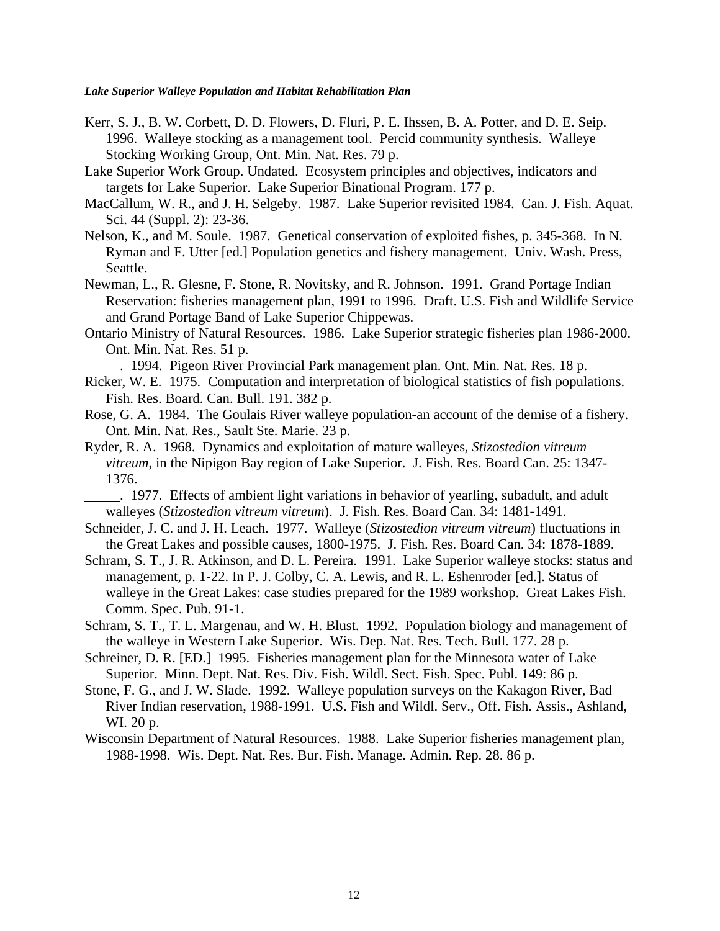- Kerr, S. J., B. W. Corbett, D. D. Flowers, D. Fluri, P. E. Ihssen, B. A. Potter, and D. E. Seip. 1996. Walleye stocking as a management tool. Percid community synthesis. Walleye Stocking Working Group, Ont. Min. Nat. Res. 79 p.
- Lake Superior Work Group. Undated. Ecosystem principles and objectives, indicators and targets for Lake Superior. Lake Superior Binational Program. 177 p.
- MacCallum, W. R., and J. H. Selgeby. 1987. Lake Superior revisited 1984. Can. J. Fish. Aquat. Sci. 44 (Suppl. 2): 23-36.
- Nelson, K., and M. Soule. 1987. Genetical conservation of exploited fishes, p. 345-368. In N. Ryman and F. Utter [ed.] Population genetics and fishery management. Univ. Wash. Press, Seattle.
- Newman, L., R. Glesne, F. Stone, R. Novitsky, and R. Johnson. 1991. Grand Portage Indian Reservation: fisheries management plan, 1991 to 1996. Draft. U.S. Fish and Wildlife Service and Grand Portage Band of Lake Superior Chippewas.
- Ontario Ministry of Natural Resources. 1986. Lake Superior strategic fisheries plan 1986-2000. Ont. Min. Nat. Res. 51 p.

. 1994. Pigeon River Provincial Park management plan. Ont. Min. Nat. Res. 18 p.

- Ricker, W. E. 1975. Computation and interpretation of biological statistics of fish populations. Fish. Res. Board. Can. Bull. 191. 382 p.
- Rose, G. A. 1984. The Goulais River walleye population-an account of the demise of a fishery. Ont. Min. Nat. Res., Sault Ste. Marie. 23 p.
- Ryder, R. A. 1968. Dynamics and exploitation of mature walleyes, *Stizostedion vitreum vitreum*, in the Nipigon Bay region of Lake Superior. J. Fish. Res. Board Can. 25: 1347- 1376.
- . 1977. Effects of ambient light variations in behavior of yearling, subadult, and adult walleyes (*Stizostedion vitreum vitreum*). J. Fish. Res. Board Can. 34: 1481-1491.
- Schneider, J. C. and J. H. Leach. 1977. Walleye (*Stizostedion vitreum vitreum*) fluctuations in the Great Lakes and possible causes, 1800-1975. J. Fish. Res. Board Can. 34: 1878-1889.
- Schram, S. T., J. R. Atkinson, and D. L. Pereira. 1991. Lake Superior walleye stocks: status and management, p. 1-22. In P. J. Colby, C. A. Lewis, and R. L. Eshenroder [ed.]. Status of walleye in the Great Lakes: case studies prepared for the 1989 workshop. Great Lakes Fish. Comm. Spec. Pub. 91-1.
- Schram, S. T., T. L. Margenau, and W. H. Blust. 1992. Population biology and management of the walleye in Western Lake Superior. Wis. Dep. Nat. Res. Tech. Bull. 177. 28 p.
- Schreiner, D. R. [ED.] 1995. Fisheries management plan for the Minnesota water of Lake Superior. Minn. Dept. Nat. Res. Div. Fish. Wildl. Sect. Fish. Spec. Publ. 149: 86 p.
- Stone, F. G., and J. W. Slade. 1992. Walleye population surveys on the Kakagon River, Bad River Indian reservation, 1988-1991. U.S. Fish and Wildl. Serv., Off. Fish. Assis., Ashland, WI. 20 p.
- Wisconsin Department of Natural Resources. 1988. Lake Superior fisheries management plan, 1988-1998. Wis. Dept. Nat. Res. Bur. Fish. Manage. Admin. Rep. 28. 86 p.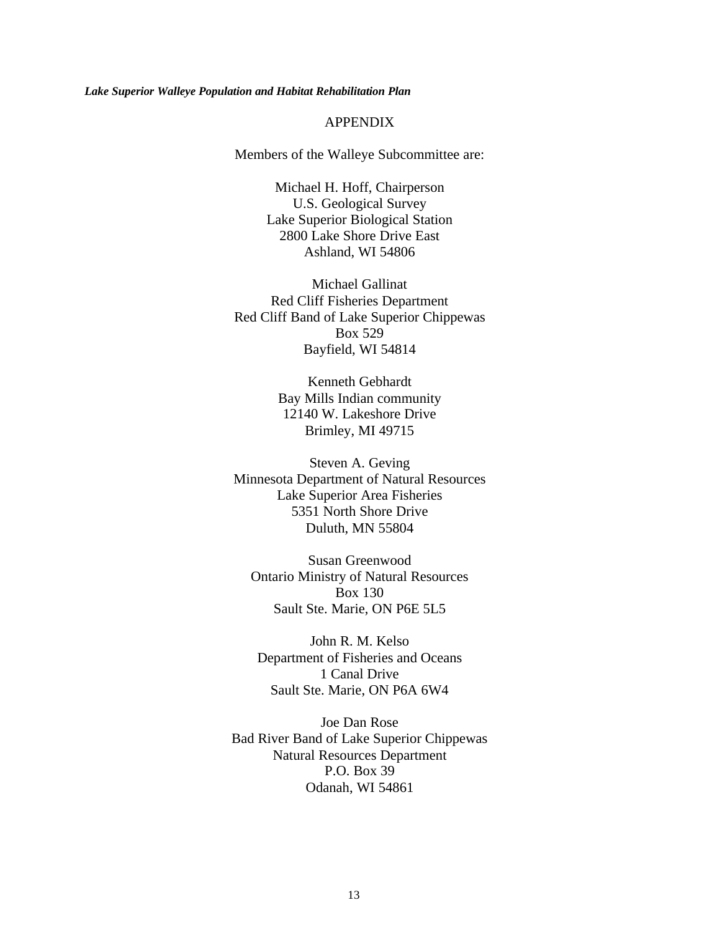### APPENDIX

Members of the Walleye Subcommittee are:

Michael H. Hoff, Chairperson U.S. Geological Survey Lake Superior Biological Station 2800 Lake Shore Drive East Ashland, WI 54806

Michael Gallinat Red Cliff Fisheries Department Red Cliff Band of Lake Superior Chippewas Box 529 Bayfield, WI 54814

> Kenneth Gebhardt Bay Mills Indian community 12140 W. Lakeshore Drive Brimley, MI 49715

Steven A. Geving Minnesota Department of Natural Resources Lake Superior Area Fisheries 5351 North Shore Drive Duluth, MN 55804

Susan Greenwood Ontario Ministry of Natural Resources Box 130 Sault Ste. Marie, ON P6E 5L5

John R. M. Kelso Department of Fisheries and Oceans 1 Canal Drive Sault Ste. Marie, ON P6A 6W4

Joe Dan Rose Bad River Band of Lake Superior Chippewas Natural Resources Department P.O. Box 39 Odanah, WI 54861